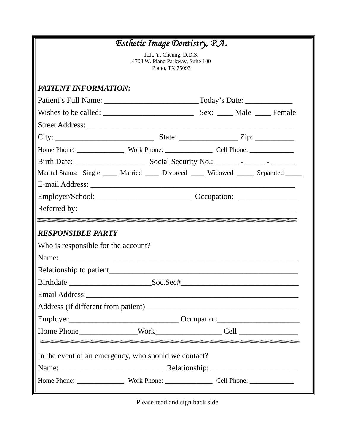| Esthetic Image Dentistry, P.A.                                                                                  |  |  |  |  |                                                                                                                 |
|-----------------------------------------------------------------------------------------------------------------|--|--|--|--|-----------------------------------------------------------------------------------------------------------------|
| JoJo Y. Cheung, D.D.S.<br>4708 W. Plano Parkway, Suite 100<br>Plano, TX 75093                                   |  |  |  |  |                                                                                                                 |
| <b>PATIENT INFORMATION:</b>                                                                                     |  |  |  |  |                                                                                                                 |
|                                                                                                                 |  |  |  |  |                                                                                                                 |
|                                                                                                                 |  |  |  |  |                                                                                                                 |
|                                                                                                                 |  |  |  |  |                                                                                                                 |
|                                                                                                                 |  |  |  |  |                                                                                                                 |
|                                                                                                                 |  |  |  |  |                                                                                                                 |
|                                                                                                                 |  |  |  |  |                                                                                                                 |
| Marital Status: Single ____ Married ____ Divorced ____ Widowed _____ Separated _____                            |  |  |  |  |                                                                                                                 |
|                                                                                                                 |  |  |  |  |                                                                                                                 |
|                                                                                                                 |  |  |  |  |                                                                                                                 |
|                                                                                                                 |  |  |  |  |                                                                                                                 |
| and a set of the set of the set of the set of the set of the set of the set of the set of the set of the set of |  |  |  |  |                                                                                                                 |
| <b>RESPONSIBLE PARTY</b>                                                                                        |  |  |  |  |                                                                                                                 |
| Who is responsible for the account?                                                                             |  |  |  |  |                                                                                                                 |
|                                                                                                                 |  |  |  |  |                                                                                                                 |
| Relationship to patient                                                                                         |  |  |  |  |                                                                                                                 |
| Soc.Sec#<br><b>Birthdate</b>                                                                                    |  |  |  |  |                                                                                                                 |
|                                                                                                                 |  |  |  |  |                                                                                                                 |
|                                                                                                                 |  |  |  |  |                                                                                                                 |
|                                                                                                                 |  |  |  |  |                                                                                                                 |
|                                                                                                                 |  |  |  |  |                                                                                                                 |
|                                                                                                                 |  |  |  |  | and a set of the set of the set of the set of the set of the set of the set of the set of the set of the set of |
| In the event of an emergency, who should we contact?                                                            |  |  |  |  |                                                                                                                 |
|                                                                                                                 |  |  |  |  |                                                                                                                 |
|                                                                                                                 |  |  |  |  |                                                                                                                 |